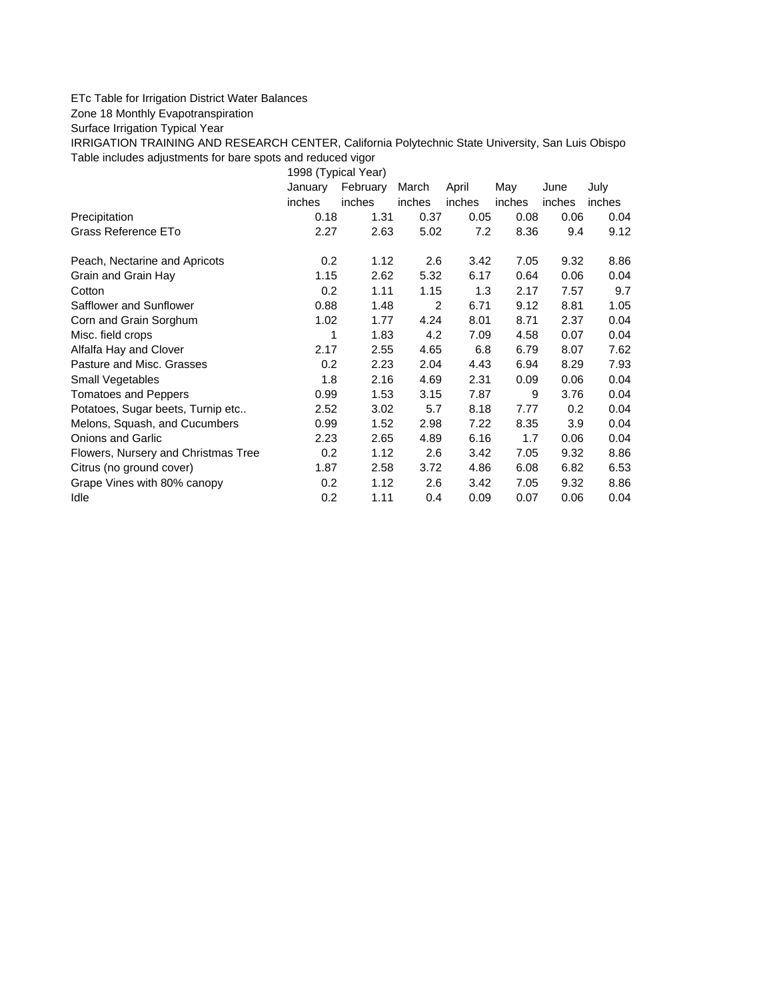## ETc Table for Irrigation District Water Balances

Zone 18 Monthly Evapotranspiration

Surface Irrigation Typical Year

IRRIGATION TRAINING AND RESEARCH CENTER, California Polytechnic State University, San Luis Obispo Table includes adjustments for bare spots and reduced vigor

1998 (Typical Year)

|                                     | January | February | March  | April  | May    | June   | July   |
|-------------------------------------|---------|----------|--------|--------|--------|--------|--------|
|                                     | inches  | inches   | inches | inches | inches | inches | inches |
| Precipitation                       | 0.18    | 1.31     | 0.37   | 0.05   | 0.08   | 0.06   | 0.04   |
| Grass Reference ETo                 | 2.27    | 2.63     | 5.02   | 7.2    | 8.36   | 9.4    | 9.12   |
| Peach, Nectarine and Apricots       | 0.2     | 1.12     | 2.6    | 3.42   | 7.05   | 9.32   | 8.86   |
| Grain and Grain Hay                 | 1.15    | 2.62     | 5.32   | 6.17   | 0.64   | 0.06   | 0.04   |
| Cotton                              | 0.2     | 1.11     | 1.15   | 1.3    | 2.17   | 7.57   | 9.7    |
| Safflower and Sunflower             | 0.88    | 1.48     | 2      | 6.71   | 9.12   | 8.81   | 1.05   |
| Corn and Grain Sorghum              | 1.02    | 1.77     | 4.24   | 8.01   | 8.71   | 2.37   | 0.04   |
| Misc. field crops                   | 1       | 1.83     | 4.2    | 7.09   | 4.58   | 0.07   | 0.04   |
| Alfalfa Hay and Clover              | 2.17    | 2.55     | 4.65   | 6.8    | 6.79   | 8.07   | 7.62   |
| Pasture and Misc. Grasses           | 0.2     | 2.23     | 2.04   | 4.43   | 6.94   | 8.29   | 7.93   |
| Small Vegetables                    | 1.8     | 2.16     | 4.69   | 2.31   | 0.09   | 0.06   | 0.04   |
| Tomatoes and Peppers                | 0.99    | 1.53     | 3.15   | 7.87   | 9      | 3.76   | 0.04   |
| Potatoes, Sugar beets, Turnip etc   | 2.52    | 3.02     | 5.7    | 8.18   | 7.77   | 0.2    | 0.04   |
| Melons, Squash, and Cucumbers       | 0.99    | 1.52     | 2.98   | 7.22   | 8.35   | 3.9    | 0.04   |
| <b>Onions and Garlic</b>            | 2.23    | 2.65     | 4.89   | 6.16   | 1.7    | 0.06   | 0.04   |
| Flowers, Nursery and Christmas Tree | 0.2     | 1.12     | 2.6    | 3.42   | 7.05   | 9.32   | 8.86   |
| Citrus (no ground cover)            | 1.87    | 2.58     | 3.72   | 4.86   | 6.08   | 6.82   | 6.53   |
| Grape Vines with 80% canopy         | 0.2     | 1.12     | 2.6    | 3.42   | 7.05   | 9.32   | 8.86   |
| Idle                                | 0.2     | 1.11     | 0.4    | 0.09   | 0.07   | 0.06   | 0.04   |